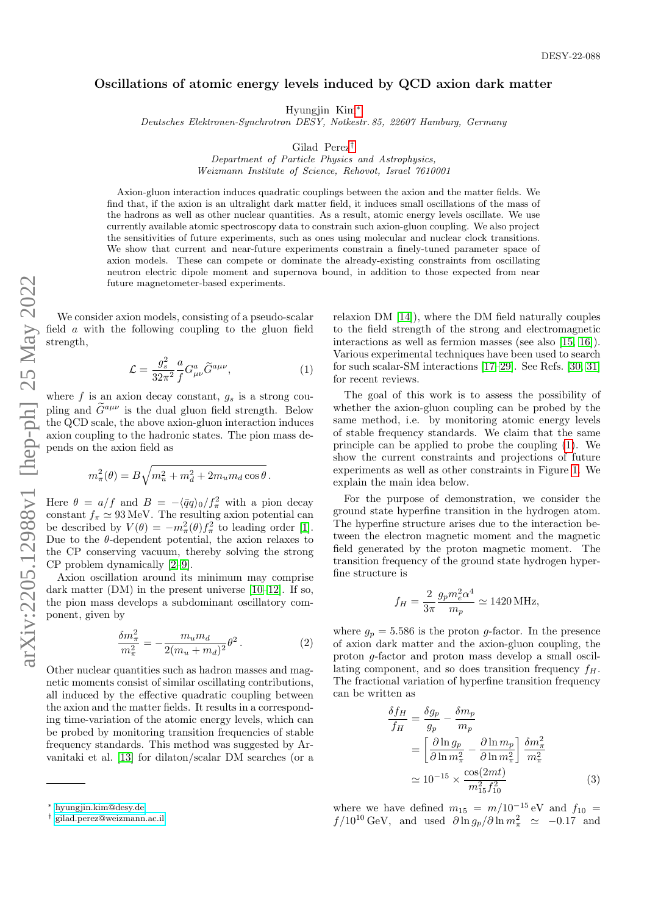## Oscillations of atomic energy levels induced by QCD axion dark matter

Hyungjin Kim[∗](#page-0-0)

Deutsches Elektronen-Synchrotron DESY, Notkestr. 85, 22607 Hamburg, Germany

Gilad Perez[†](#page-0-1)

Department of Particle Physics and Astrophysics, Weizmann Institute of Science, Rehovot, Israel 7610001

Axion-gluon interaction induces quadratic couplings between the axion and the matter fields. We find that, if the axion is an ultralight dark matter field, it induces small oscillations of the mass of the hadrons as well as other nuclear quantities. As a result, atomic energy levels oscillate. We use currently available atomic spectroscopy data to constrain such axion-gluon coupling. We also project the sensitivities of future experiments, such as ones using molecular and nuclear clock transitions. We show that current and near-future experiments constrain a finely-tuned parameter space of axion models. These can compete or dominate the already-existing constraints from oscillating neutron electric dipole moment and supernova bound, in addition to those expected from near future magnetometer-based experiments.

We consider axion models, consisting of a pseudo-scalar field  $\alpha$  with the following coupling to the gluon field strength,

<span id="page-0-2"></span>
$$
\mathcal{L} = \frac{g_s^2}{32\pi^2} \frac{a}{f} G^a_{\mu\nu} \widetilde{G}^{a\mu\nu},\tag{1}
$$

where  $f$  is an axion decay constant,  $g_s$  is a strong coupling and  $\tilde{G}^{a\mu\nu}$  is the dual gluon field strength. Below the QCD scale, the above axion-gluon interaction induces axion coupling to the hadronic states. The pion mass depends on the axion field as

$$
m_{\pi}^{2}(\theta) = B\sqrt{m_{u}^{2} + m_{d}^{2} + 2m_{u}m_{d}\cos\theta}.
$$

Here  $\theta = a/f$  and  $B = -\langle \bar{q}q \rangle_0/f_\pi^2$  with a pion decay constant  $f_{\pi} \simeq 93 \,\text{MeV}$ . The resulting axion potential can be described by  $V(\theta) = -m_{\pi}^2(\theta) f_{\pi}^2$  to leading order [\[1\]](#page-4-0). Due to the  $\theta$ -dependent potential, the axion relaxes to the CP conserving vacuum, thereby solving the strong CP problem dynamically [\[2](#page-4-1)[–9\]](#page-4-2).

Axion oscillation around its minimum may comprise dark matter (DM) in the present universe [\[10–](#page-4-3)[12\]](#page-4-4). If so, the pion mass develops a subdominant oscillatory component, given by

$$
\frac{\delta m_{\pi}^2}{m_{\pi}^2} = -\frac{m_u m_d}{2(m_u + m_d)^2} \theta^2.
$$
 (2)

Other nuclear quantities such as hadron masses and magnetic moments consist of similar oscillating contributions, all induced by the effective quadratic coupling between the axion and the matter fields. It results in a corresponding time-variation of the atomic energy levels, which can be probed by monitoring transition frequencies of stable frequency standards. This method was suggested by Arvanitaki et al. [\[13\]](#page-4-5) for dilaton/scalar DM searches (or a relaxion DM [\[14\]](#page-4-6)), where the DM field naturally couples to the field strength of the strong and electromagnetic interactions as well as fermion masses (see also [\[15,](#page-4-7) [16\]](#page-4-8)). Various experimental techniques have been used to search for such scalar-SM interactions [\[17](#page-4-9)[–29\]](#page-5-0). See Refs. [\[30,](#page-5-1) [31\]](#page-5-2) for recent reviews.

The goal of this work is to assess the possibility of whether the axion-gluon coupling can be probed by the same method, i.e. by monitoring atomic energy levels of stable frequency standards. We claim that the same principle can be applied to probe the coupling [\(1\)](#page-0-2). We show the current constraints and projections of future experiments as well as other constraints in Figure [1.](#page-1-0) We explain the main idea below.

For the purpose of demonstration, we consider the ground state hyperfine transition in the hydrogen atom. The hyperfine structure arises due to the interaction between the electron magnetic moment and the magnetic field generated by the proton magnetic moment. The transition frequency of the ground state hydrogen hyperfine structure is

$$
f_H = \frac{2}{3\pi} \frac{g_p m_e^2 \alpha^4}{m_p} \simeq 1420 \,\text{MHz},
$$

where  $g_p = 5.586$  is the proton g-factor. In the presence of axion dark matter and the axion-gluon coupling, the proton g-factor and proton mass develop a small oscillating component, and so does transition frequency  $f_H$ . The fractional variation of hyperfine transition frequency can be written as

<span id="page-0-3"></span>
$$
\frac{\delta f_H}{f_H} = \frac{\delta g_p}{g_p} - \frac{\delta m_p}{m_p}
$$
  
= 
$$
\left[ \frac{\partial \ln g_p}{\partial \ln m_\pi^2} - \frac{\partial \ln m_p}{\partial \ln m_\pi^2} \right] \frac{\delta m_\pi^2}{m_\pi^2}
$$
  

$$
\approx 10^{-15} \times \frac{\cos(2mt)}{m_{15}^2 f_{10}^2}
$$
(3)

where we have defined  $m_{15} = m/10^{-15}$  eV and  $f_{10} =$  $f/10^{10} \text{ GeV}$ , and used  $\partial \ln g_p / \partial \ln m_\pi^2 \simeq -0.17$  and

<span id="page-0-0"></span><sup>∗</sup> [hyungjin.kim@desy.de](mailto:hyungjin.kim@desy.de)

<span id="page-0-1"></span><sup>†</sup> [gilad.perez@weizmann.ac.il](mailto:gilad.perez@weizmann.ac.il)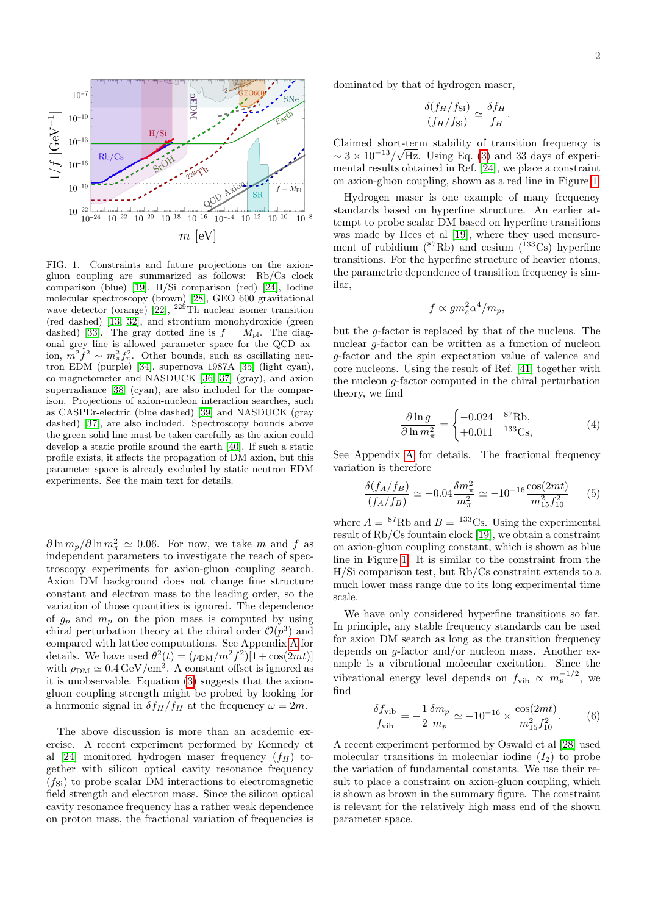

<span id="page-1-0"></span>FIG. 1. Constraints and future projections on the axiongluon coupling are summarized as follows: Rb/Cs clock comparison (blue) [\[19\]](#page-4-10), H/Si comparison (red) [\[24\]](#page-5-3), Iodine molecular spectroscopy (brown) [\[28\]](#page-5-4), GEO 600 gravitational wave detector (orange) [\[22\]](#page-4-11),  $^{229}$ Th nuclear isomer transition (red dashed) [\[13,](#page-4-5) [32\]](#page-5-5), and strontium monohydroxide (green dashed) [\[33\]](#page-5-6). The gray dotted line is  $f = M_{\text{pl}}$ . The diagonal grey line is allowed parameter space for the QCD axion,  $m^2 f^2 \sim m_{\pi}^2 f_{\pi}^2$ . Other bounds, such as oscillating neutron EDM (purple) [\[34\]](#page-5-7), supernova 1987A [\[35\]](#page-5-8) (light cyan), co-magnetometer and NASDUCK [\[36,](#page-5-9) [37\]](#page-5-10) (gray), and axion superradiance [\[38\]](#page-5-11) (cyan), are also included for the comparison. Projections of axion-nucleon interaction searches, such as CASPEr-electric (blue dashed) [\[39\]](#page-5-12) and NASDUCK (gray dashed) [\[37\]](#page-5-10), are also included. Spectroscopy bounds above the green solid line must be taken carefully as the axion could develop a static profile around the earth [\[40\]](#page-5-13). If such a static profile exists, it affects the propagation of DM axion, but this parameter space is already excluded by static neutron EDM experiments. See the main text for details.

 $\partial \ln m_p / \partial \ln m_\pi^2 \simeq 0.06$ . For now, we take m and f as independent parameters to investigate the reach of spectroscopy experiments for axion-gluon coupling search. Axion DM background does not change fine structure constant and electron mass to the leading order, so the variation of those quantities is ignored. The dependence of  $g_p$  and  $m_p$  on the pion mass is computed by using chiral perturbation theory at the chiral order  $\mathcal{O}(p^3)$  and compared with lattice computations. See Appendix [A](#page-3-0) for details. We have used  $\theta^2(t) = (\rho_{\text{DM}}/m^2 f^2)[1 + \cos(2mt)]$ with  $\rho_{\rm DM} \simeq 0.4 \,\rm{GeV/cm^3}$ . A constant offset is ignored as it is unobservable. Equation [\(3\)](#page-0-3) suggests that the axiongluon coupling strength might be probed by looking for a harmonic signal in  $\delta f_H/f_H$  at the frequency  $\omega = 2m$ .

The above discussion is more than an academic exercise. A recent experiment performed by Kennedy et al [\[24\]](#page-5-3) monitored hydrogen maser frequency  $(f_H)$  together with silicon optical cavity resonance frequency  $(f_{\text{Si}})$  to probe scalar DM interactions to electromagnetic field strength and electron mass. Since the silicon optical cavity resonance frequency has a rather weak dependence on proton mass, the fractional variation of frequencies is dominated by that of hydrogen maser,

$$
\frac{\delta(f_H/f_{\rm Si})}{(f_H/f_{\rm Si})} \simeq \frac{\delta f_H}{f_H}.
$$

Claimed short-term stability of transition frequency is  $\sim 3 \times 10^{-13} / \sqrt{\text{Hz}}$ . Using Eq. [\(3\)](#page-0-3) and 33 days of experimental results obtained in Ref. [\[24\]](#page-5-3), we place a constraint on axion-gluon coupling, shown as a red line in Figure [1.](#page-1-0)

Hydrogen maser is one example of many frequency standards based on hyperfine structure. An earlier attempt to probe scalar DM based on hyperfine transitions was made by Hees et al [\[19\]](#page-4-10), where they used measurement of rubidium  $(^{87}Rb)$  and cesium  $(^{133}Cs)$  hyperfine transitions. For the hyperfine structure of heavier atoms, the parametric dependence of transition frequency is similar,

$$
f \propto g m_e^2 \alpha^4 / m_p,
$$

but the g-factor is replaced by that of the nucleus. The nuclear g-factor can be written as a function of nucleon g-factor and the spin expectation value of valence and core nucleons. Using the result of Ref. [\[41\]](#page-5-14) together with the nucleon g-factor computed in the chiral perturbation theory, we find

$$
\frac{\partial \ln g}{\partial \ln m_{\pi}^2} = \begin{cases} -0.024 & {}^{87}\text{Rb}, \\ +0.011 & {}^{133}\text{Cs}, \end{cases}
$$
(4)

See Appendix [A](#page-3-0) for details. The fractional frequency variation is therefore

$$
\frac{\delta(f_A/f_B)}{(f_A/f_B)} \simeq -0.04 \frac{\delta m_\pi^2}{m_\pi^2} \simeq -10^{-16} \frac{\cos(2mt)}{m_{15}^2 f_{10}^2} \tag{5}
$$

where  $A = {}^{87}Rb$  and  $B = {}^{133}Cs$ . Using the experimental result of Rb/Cs fountain clock [\[19\]](#page-4-10), we obtain a constraint on axion-gluon coupling constant, which is shown as blue line in Figure [1.](#page-1-0) It is similar to the constraint from the H/Si comparison test, but Rb/Cs constraint extends to a much lower mass range due to its long experimental time scale.

We have only considered hyperfine transitions so far. In principle, any stable frequency standards can be used for axion DM search as long as the transition frequency depends on g-factor and/or nucleon mass. Another example is a vibrational molecular excitation. Since the vibrational energy level depends on  $f_{\text{vib}} \propto m_p^{-1/2}$ , we find

$$
\frac{\delta f_{\rm vib}}{f_{\rm vib}} = -\frac{1}{2} \frac{\delta m_p}{m_p} \simeq -10^{-16} \times \frac{\cos(2mt)}{m_{15}^2 f_{10}^2}.
$$
 (6)

A recent experiment performed by Oswald et al [\[28\]](#page-5-4) used molecular transitions in molecular iodine  $(I_2)$  to probe the variation of fundamental constants. We use their result to place a constraint on axion-gluon coupling, which is shown as brown in the summary figure. The constraint is relevant for the relatively high mass end of the shown parameter space.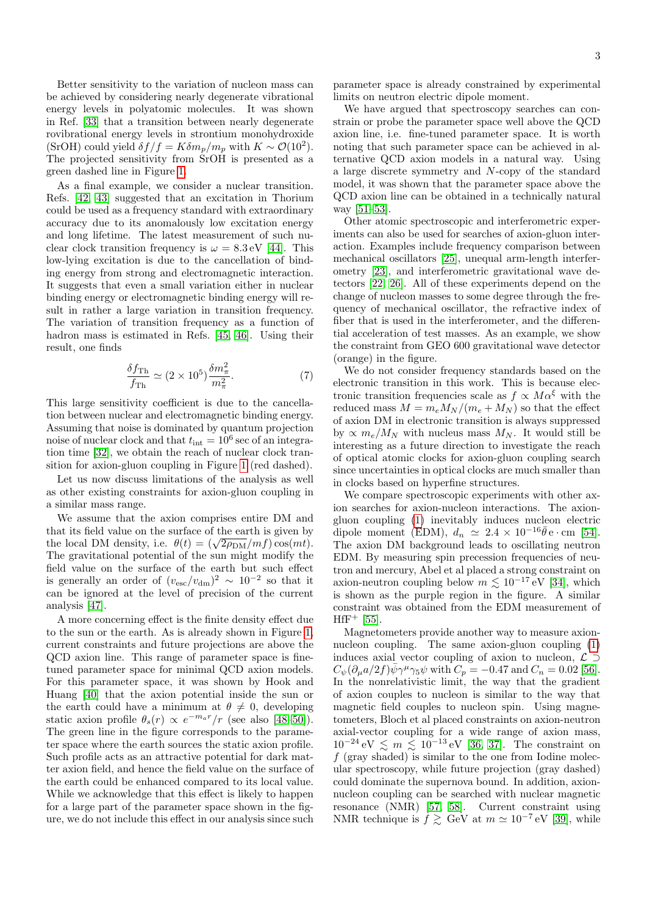Better sensitivity to the variation of nucleon mass can be achieved by considering nearly degenerate vibrational energy levels in polyatomic molecules. It was shown in Ref. [\[33\]](#page-5-6) that a transition between nearly degenerate rovibrational energy levels in strontium monohydroxide (SrOH) could yield  $\delta f/f = K \delta m_p / m_p$  with  $K \sim \mathcal{O}(10^2)$ . The projected sensitivity from SrOH is presented as a green dashed line in Figure [1.](#page-1-0)

As a final example, we consider a nuclear transition. Refs. [\[42,](#page-5-15) [43\]](#page-5-16) suggested that an excitation in Thorium could be used as a frequency standard with extraordinary accuracy due to its anomalously low excitation energy and long lifetime. The latest measurement of such nuclear clock transition frequency is  $\omega = 8.3 \,\text{eV}$  [\[44\]](#page-5-17). This low-lying excitation is due to the cancellation of binding energy from strong and electromagnetic interaction. It suggests that even a small variation either in nuclear binding energy or electromagnetic binding energy will result in rather a large variation in transition frequency. The variation of transition frequency as a function of hadron mass is estimated in Refs. [\[45,](#page-5-18) [46\]](#page-5-19). Using their result, one finds

$$
\frac{\delta f_{\rm Th}}{f_{\rm Th}} \simeq (2 \times 10^5) \frac{\delta m_\pi^2}{m_\pi^2}.\tag{7}
$$

This large sensitivity coefficient is due to the cancellation between nuclear and electromagnetic binding energy. Assuming that noise is dominated by quantum projection noise of nuclear clock and that  $t_{\text{int}} = 10^6 \text{ sec of an integra}$ tion time [\[32\]](#page-5-5), we obtain the reach of nuclear clock transition for axion-gluon coupling in Figure [1](#page-1-0) (red dashed).

Let us now discuss limitations of the analysis as well as other existing constraints for axion-gluon coupling in a similar mass range.

We assume that the axion comprises entire DM and that its field value on the surface of the earth is given by that its field value on the surface of the earth is given by<br>the local DM density, i.e.  $\theta(t) = (\sqrt{2\rho_{\text{DM}}}/mf) \cos(mt)$ . The gravitational potential of the sun might modify the field value on the surface of the earth but such effect is generally an order of  $(v_{\rm esc}/v_{\rm dm})^2 \sim 10^{-2}$  so that it can be ignored at the level of precision of the current analysis [\[47\]](#page-5-20).

A more concerning effect is the finite density effect due to the sun or the earth. As is already shown in Figure [1,](#page-1-0) current constraints and future projections are above the QCD axion line. This range of parameter space is finetuned parameter space for minimal QCD axion models. For this parameter space, it was shown by Hook and Huang [\[40\]](#page-5-13) that the axion potential inside the sun or the earth could have a minimum at  $\theta \neq 0$ , developing static axion profile  $\theta_s(r) \propto e^{-m_a r}/r$  (see also [\[48](#page-5-21)[–50\]](#page-5-22)). The green line in the figure corresponds to the parameter space where the earth sources the static axion profile. Such profile acts as an attractive potential for dark matter axion field, and hence the field value on the surface of the earth could be enhanced compared to its local value. While we acknowledge that this effect is likely to happen for a large part of the parameter space shown in the figure, we do not include this effect in our analysis since such

parameter space is already constrained by experimental limits on neutron electric dipole moment.

We have argued that spectroscopy searches can constrain or probe the parameter space well above the QCD axion line, i.e. fine-tuned parameter space. It is worth noting that such parameter space can be achieved in alternative QCD axion models in a natural way. Using a large discrete symmetry and N-copy of the standard model, it was shown that the parameter space above the QCD axion line can be obtained in a technically natural way [\[51–](#page-5-23)[53\]](#page-5-24).

Other atomic spectroscopic and interferometric experiments can also be used for searches of axion-gluon interaction. Examples include frequency comparison between mechanical oscillators [\[25\]](#page-5-25), unequal arm-length interferometry [\[23\]](#page-5-26), and interferometric gravitational wave detectors [\[22,](#page-4-11) [26\]](#page-5-27). All of these experiments depend on the change of nucleon masses to some degree through the frequency of mechanical oscillator, the refractive index of fiber that is used in the interferometer, and the differential acceleration of test masses. As an example, we show the constraint from GEO 600 gravitational wave detector (orange) in the figure.

We do not consider frequency standards based on the electronic transition in this work. This is because electronic transition frequencies scale as  $f \propto M\alpha^{\xi}$  with the reduced mass  $M = m_e M_N / (m_e + M_N)$  so that the effect of axion DM in electronic transition is always suppressed by  $\propto m_e/M_N$  with nucleus mass  $M_N$ . It would still be interesting as a future direction to investigate the reach of optical atomic clocks for axion-gluon coupling search since uncertainties in optical clocks are much smaller than in clocks based on hyperfine structures.

We compare spectroscopic experiments with other axion searches for axion-nucleon interactions. The axiongluon coupling [\(1\)](#page-0-2) inevitably induces nucleon electric dipole moment (EDM),  $d_n \approx 2.4 \times 10^{-16} \bar{\theta} e \cdot \text{cm}$  [\[54\]](#page-5-28). The axion DM background leads to oscillating neutron EDM. By measuring spin precession frequencies of neutron and mercury, Abel et al placed a strong constraint on axion-neutron coupling below  $m \lesssim 10^{-17}$  eV [\[34\]](#page-5-7), which is shown as the purple region in the figure. A similar constraint was obtained from the EDM measurement of  $Hff^+$  [\[55\]](#page-5-29).

Magnetometers provide another way to measure axionnucleon coupling. The same axion-gluon coupling [\(1\)](#page-0-2) induces axial vector coupling of axion to nucleon,  $\mathcal{L} \supset$  $C_{\psi}(\partial_{\mu}a/2f)\bar{\psi}\gamma^{\mu}\gamma_5\psi$  with  $C_p = -0.47$  and  $C_n = 0.02$  [\[56\]](#page-5-30). In the nonrelativistic limit, the way that the gradient of axion couples to nucleon is similar to the way that magnetic field couples to nucleon spin. Using magnetometers, Bloch et al placed constraints on axion-neutron axial-vector coupling for a wide range of axion mass,  $10^{-24}$  eV  $\leq m \leq 10^{-13}$  eV [\[36,](#page-5-9) [37\]](#page-5-10). The constraint on  $f$  (gray shaded) is similar to the one from Iodine molecular spectroscopy, while future projection (gray dashed) could dominate the supernova bound. In addition, axionnucleon coupling can be searched with nuclear magnetic resonance (NMR) [\[57,](#page-5-31) [58\]](#page-5-32). Current constraint using NMR technique is  $\dot{f} \gtrsim$  GeV at  $m \simeq 10^{-7}$  eV [\[39\]](#page-5-12), while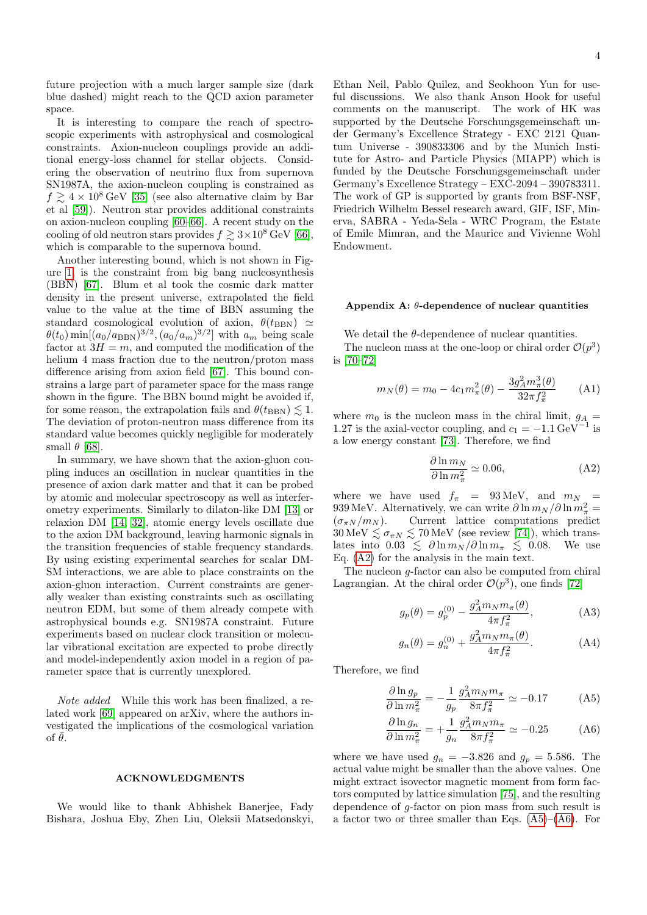future projection with a much larger sample size (dark blue dashed) might reach to the QCD axion parameter space.

It is interesting to compare the reach of spectroscopic experiments with astrophysical and cosmological constraints. Axion-nucleon couplings provide an additional energy-loss channel for stellar objects. Considering the observation of neutrino flux from supernova SN1987A, the axion-nucleon coupling is constrained as  $f \geq 4 \times 10^8$  GeV [\[35\]](#page-5-8) (see also alternative claim by Bar et al [\[59\]](#page-6-0)). Neutron star provides additional constraints on axion-nucleon coupling [\[60](#page-6-1)[–66\]](#page-6-2). A recent study on the cooling of old neutron stars provides  $f \geq 3 \times 10^8$  GeV [\[66\]](#page-6-2), which is comparable to the supernova bound.

Another interesting bound, which is not shown in Figure [1,](#page-1-0) is the constraint from big bang nucleosynthesis (BBN) [\[67\]](#page-6-3). Blum et al took the cosmic dark matter density in the present universe, extrapolated the field value to the value at the time of BBN assuming the standard cosmological evolution of axion,  $\theta(t_{\text{BBN}}) \simeq$  $\theta(t_0)$  min $[(a_0/a_{\text{BBN}})^{3/2}, (a_0/a_m)^{3/2}]$  with  $a_m$  being scale factor at  $3H = m$ , and computed the modification of the helium 4 mass fraction due to the neutron/proton mass difference arising from axion field [\[67\]](#page-6-3). This bound constrains a large part of parameter space for the mass range shown in the figure. The BBN bound might be avoided if, for some reason, the extrapolation fails and  $\theta(t_{\text{BBN}}) \lesssim 1$ . The deviation of proton-neutron mass difference from its standard value becomes quickly negligible for moderately small  $\theta$  [\[68\]](#page-6-4).

In summary, we have shown that the axion-gluon coupling induces an oscillation in nuclear quantities in the presence of axion dark matter and that it can be probed by atomic and molecular spectroscopy as well as interferometry experiments. Similarly to dilaton-like DM [\[13\]](#page-4-5) or relaxion DM [\[14,](#page-4-6) [32\]](#page-5-5), atomic energy levels oscillate due to the axion DM background, leaving harmonic signals in the transition frequencies of stable frequency standards. By using existing experimental searches for scalar DM-SM interactions, we are able to place constraints on the axion-gluon interaction. Current constraints are generally weaker than existing constraints such as oscillating neutron EDM, but some of them already compete with astrophysical bounds e.g. SN1987A constraint. Future experiments based on nuclear clock transition or molecular vibrational excitation are expected to probe directly and model-independently axion model in a region of parameter space that is currently unexplored.

Note added While this work has been finalized, a related work [\[69\]](#page-6-5) appeared on arXiv, where the authors investigated the implications of the cosmological variation of  $\bar{\theta}$ .

## ACKNOWLEDGMENTS

We would like to thank Abhishek Banerjee, Fady Bishara, Joshua Eby, Zhen Liu, Oleksii Matsedonskyi,

Ethan Neil, Pablo Quilez, and Seokhoon Yun for useful discussions. We also thank Anson Hook for useful comments on the manuscript. The work of HK was supported by the Deutsche Forschungsgemeinschaft under Germany's Excellence Strategy - EXC 2121 Quantum Universe - 390833306 and by the Munich Institute for Astro- and Particle Physics (MIAPP) which is funded by the Deutsche Forschungsgemeinschaft under Germany's Excellence Strategy – EXC-2094 – 390783311. The work of GP is supported by grants from BSF-NSF, Friedrich Wilhelm Bessel research award, GIF, ISF, Minerva, SABRA - Yeda-Sela - WRC Program, the Estate of Emile Mimran, and the Maurice and Vivienne Wohl Endowment.

## <span id="page-3-0"></span>Appendix A:  $\theta$ -dependence of nuclear quantities

We detail the  $\theta$ -dependence of nuclear quantities.

The nucleon mass at the one-loop or chiral order  $\mathcal{O}(p^3)$ is [\[70](#page-6-6)[–72\]](#page-6-7)

$$
m_N(\theta) = m_0 - 4c_1 m_\pi^2(\theta) - \frac{3g_A^2 m_\pi^3(\theta)}{32\pi f_\pi^2}
$$
 (A1)

where  $m_0$  is the nucleon mass in the chiral limit,  $g_A$  = 1.27 is the axial-vector coupling, and  $c_1 = -1.1 \,\text{GeV}^$ is a low energy constant [\[73\]](#page-6-8). Therefore, we find

<span id="page-3-1"></span>
$$
\frac{\partial \ln m_N}{\partial \ln m_\pi^2} \simeq 0.06,\tag{A2}
$$

where we have used  $f_{\pi}$  = 93 MeV, and  $m_N$  = 939 MeV. Alternatively, we can write  $\partial \ln m_N / \partial \ln m_\pi^2 =$  $(\sigma_{\pi N}/m_N)$ . Current lattice computations predict  $30 \,\text{MeV} \lesssim \sigma_{\pi N} \lesssim 70 \,\text{MeV}$  (see review [\[74\]](#page-6-9)), which translates into  $0.03 \leq \partial \ln m_N / \partial \ln m_\pi \leq 0.08$ . We use Eq. [\(A2\)](#page-3-1) for the analysis in the main text.

The nucleon g-factor can also be computed from chiral Lagrangian. At the chiral order  $\mathcal{O}(p^3)$ , one finds [\[72\]](#page-6-7)

$$
g_p(\theta) = g_p^{(0)} - \frac{g_A^2 m_N m_\pi(\theta)}{4\pi f_\pi^2},
$$
 (A3)

$$
g_n(\theta) = g_n^{(0)} + \frac{g_A^2 m_N m_\pi(\theta)}{4\pi f_\pi^2}.
$$
 (A4)

Therefore, we find

<span id="page-3-2"></span>
$$
\frac{\partial \ln g_p}{\partial \ln m_\pi^2} = -\frac{1}{g_p} \frac{g_A^2 m_N m_\pi}{8\pi f_\pi^2} \simeq -0.17 \tag{A5}
$$

$$
\frac{\partial \ln g_n}{\partial \ln m_\pi^2} = +\frac{1}{g_n} \frac{g_A^2 m_N m_\pi}{8\pi f_\pi^2} \simeq -0.25 \tag{A6}
$$

where we have used  $g_n = -3.826$  and  $g_p = 5.586$ . The actual value might be smaller than the above values. One might extract isovector magnetic moment from form factors computed by lattice simulation [\[75\]](#page-6-10), and the resulting dependence of g-factor on pion mass from such result is a factor two or three smaller than Eqs.  $(A5)$ – $(A6)$ . For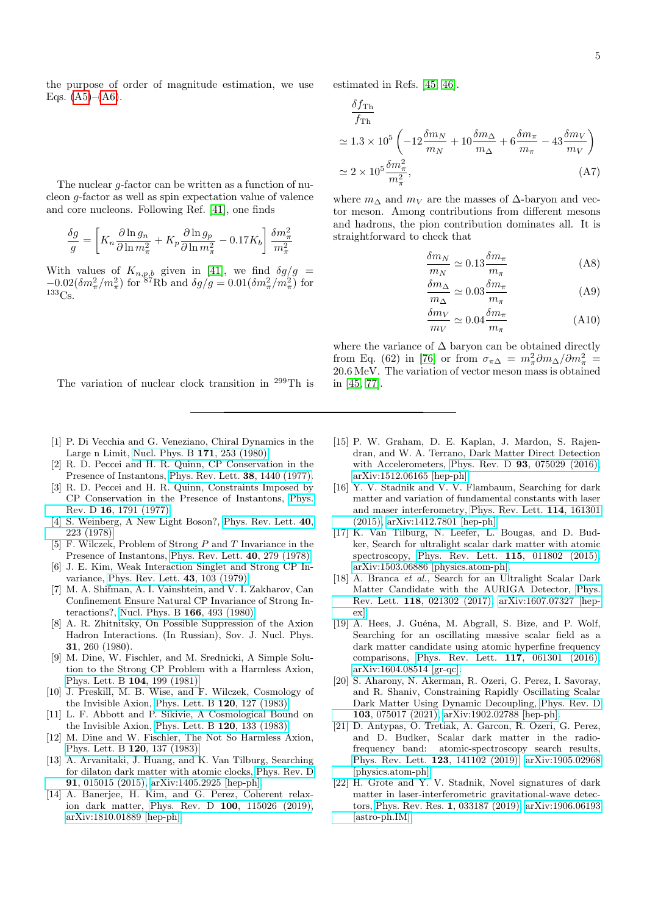the purpose of order of magnitude estimation, we use Eqs.  $(A5)–(A6)$  $(A5)–(A6)$  $(A5)–(A6)$ .

The nuclear g-factor can be written as a function of nucleon g-factor as well as spin expectation value of valence and core nucleons. Following Ref. [\[41\]](#page-5-14), one finds

$$
\frac{\delta g}{g} = \left[ K_n \frac{\partial \ln g_n}{\partial \ln m_\pi^2} + K_p \frac{\partial \ln g_p}{\partial \ln m_\pi^2} - 0.17 K_b \right] \frac{\delta m_\pi^2}{m_\pi^2}
$$

With values of  $K_{n,p,b}$  given in [\[41\]](#page-5-14), we find  $\delta g/g =$  $-0.02(\delta m_\pi^2/m_\pi^2)$  for  $87\,\text{Rb}$  and  $\delta g/g = 0.01(\delta m_\pi^2/m_\pi^2)$  for <sup>133</sup>Cs.

## estimated in Refs. [\[45,](#page-5-18) [46\]](#page-5-19).

$$
\frac{\delta f_{\text{Th}}}{f_{\text{Th}}} \approx 1.3 \times 10^5 \left( -12 \frac{\delta m_N}{m_N} + 10 \frac{\delta m_\Delta}{m_\Delta} + 6 \frac{\delta m_\pi}{m_\pi} - 43 \frac{\delta m_V}{m_V} \right) \approx 2 \times 10^5 \frac{\delta m_\pi^2}{m_\pi^2}, \tag{A7}
$$

where  $m_{\Delta}$  and  $m_V$  are the masses of  $\Delta$ -baryon and vector meson. Among contributions from different mesons and hadrons, the pion contribution dominates all. It is straightforward to check that

$$
\frac{\delta m_N}{m_N} \simeq 0.13 \frac{\delta m_\pi}{m_\pi} \tag{A8}
$$

$$
\frac{\delta m_{\Delta}}{m_{\Delta}} \simeq 0.03 \frac{\delta m_{\pi}}{m_{\pi}} \tag{A9}
$$

$$
\frac{\delta m_V}{m_V} \simeq 0.04 \frac{\delta m_\pi}{m_\pi} \tag{A10}
$$

where the variance of  $\Delta$  baryon can be obtained directly from Eq. (62) in [\[76\]](#page-6-11) or from  $\sigma_{\pi\Delta} = m_{\pi}^2 \partial m_{\Delta}/\partial m_{\pi}^2$ 20.6 MeV. The variation of vector meson mass is obtained in [\[45,](#page-5-18) [77\]](#page-6-12).

The variation of nuclear clock transition in <sup>299</sup>Th is

- <span id="page-4-0"></span>[1] P. Di Vecchia and G. Veneziano, Chiral Dynamics in the Large n Limit, [Nucl. Phys. B](https://doi.org/10.1016/0550-3213(80)90370-3) 171, 253 (1980). [2] R. D. Peccei and H. R. Quinn, CP Conservation in the
- <span id="page-4-1"></span>Presence of Instantons, [Phys. Rev. Lett.](https://doi.org/10.1103/PhysRevLett.38.1440) 38, 1440 (1977).
- [3] R. D. Peccei and H. R. Quinn, Constraints Imposed by CP Conservation in the Presence of Instantons, [Phys.](https://doi.org/10.1103/PhysRevD.16.1791) Rev. D 16[, 1791 \(1977\).](https://doi.org/10.1103/PhysRevD.16.1791)
- [4] S. Weinberg, A New Light Boson?, [Phys. Rev. Lett.](https://doi.org/10.1103/PhysRevLett.40.223) 40, [223 \(1978\).](https://doi.org/10.1103/PhysRevLett.40.223)
- [5] F. Wilczek, Problem of Strong P and T Invariance in the Presence of Instantons, [Phys. Rev. Lett.](https://doi.org/10.1103/PhysRevLett.40.279) 40, 279 (1978).
- [6] J. E. Kim, Weak Interaction Singlet and Strong CP Invariance, [Phys. Rev. Lett.](https://doi.org/10.1103/PhysRevLett.43.103) 43, 103 (1979).
- [7] M. A. Shifman, A. I. Vainshtein, and V. I. Zakharov, Can Confinement Ensure Natural CP Invariance of Strong Interactions?, [Nucl. Phys. B](https://doi.org/10.1016/0550-3213(80)90209-6) 166, 493 (1980).
- [8] A. R. Zhitnitsky, On Possible Suppression of the Axion Hadron Interactions. (In Russian), Sov. J. Nucl. Phys. 31, 260 (1980).
- <span id="page-4-2"></span>[9] M. Dine, W. Fischler, and M. Srednicki, A Simple Solution to the Strong CP Problem with a Harmless Axion, [Phys. Lett. B](https://doi.org/10.1016/0370-2693(81)90590-6) 104, 199 (1981).
- <span id="page-4-3"></span>[10] J. Preskill, M. B. Wise, and F. Wilczek, Cosmology of the Invisible Axion, [Phys. Lett. B](https://doi.org/10.1016/0370-2693(83)90637-8) 120, 127 (1983).
- [11] L. F. Abbott and P. Sikivie, A Cosmological Bound on the Invisible Axion, [Phys. Lett. B](https://doi.org/10.1016/0370-2693(83)90638-X)  $120$ ,  $133$   $(1983)$ .
- <span id="page-4-4"></span>[12] M. Dine and W. Fischler, The Not So Harmless Axion, [Phys. Lett. B](https://doi.org/10.1016/0370-2693(83)90639-1) 120, 137 (1983).
- <span id="page-4-5"></span>[13] A. Arvanitaki, J. Huang, and K. Van Tilburg, Searching for dilaton dark matter with atomic clocks, [Phys. Rev. D](https://doi.org/10.1103/PhysRevD.91.015015) 91[, 015015 \(2015\),](https://doi.org/10.1103/PhysRevD.91.015015) [arXiv:1405.2925 \[hep-ph\].](https://arxiv.org/abs/1405.2925)
- <span id="page-4-6"></span>[14] A. Banerjee, H. Kim, and G. Perez, Coherent relaxion dark matter, Phys. Rev. D 100[, 115026 \(2019\),](https://doi.org/10.1103/PhysRevD.100.115026) [arXiv:1810.01889 \[hep-ph\].](https://arxiv.org/abs/1810.01889)
- <span id="page-4-7"></span>[15] P. W. Graham, D. E. Kaplan, J. Mardon, S. Rajendran, and W. A. Terrano, Dark Matter Direct Detection with Accelerometers, Phys. Rev. D 93[, 075029 \(2016\),](https://doi.org/10.1103/PhysRevD.93.075029) [arXiv:1512.06165 \[hep-ph\].](https://arxiv.org/abs/1512.06165)
- <span id="page-4-8"></span>[16] Y. V. Stadnik and V. V. Flambaum, Searching for dark matter and variation of fundamental constants with laser and maser interferometry, [Phys. Rev. Lett.](https://doi.org/10.1103/PhysRevLett.114.161301) 114, 161301 [\(2015\),](https://doi.org/10.1103/PhysRevLett.114.161301) [arXiv:1412.7801 \[hep-ph\].](https://arxiv.org/abs/1412.7801)
- <span id="page-4-9"></span>[17] K. Van Tilburg, N. Leefer, L. Bougas, and D. Budker, Search for ultralight scalar dark matter with atomic spectroscopy, [Phys. Rev. Lett.](https://doi.org/10.1103/PhysRevLett.115.011802) 115, 011802 (2015), [arXiv:1503.06886 \[physics.atom-ph\].](https://arxiv.org/abs/1503.06886)
- [18] A. Branca et al., Search for an Ultralight Scalar Dark Matter Candidate with the AURIGA Detector, [Phys.](https://doi.org/10.1103/PhysRevLett.118.021302) Rev. Lett. 118[, 021302 \(2017\),](https://doi.org/10.1103/PhysRevLett.118.021302) [arXiv:1607.07327 \[hep](https://arxiv.org/abs/1607.07327)[ex\].](https://arxiv.org/abs/1607.07327)
- <span id="page-4-10"></span>[19] A. Hees, J. Guéna, M. Abgrall, S. Bize, and P. Wolf, Searching for an oscillating massive scalar field as a dark matter candidate using atomic hyperfine frequency comparisons, [Phys. Rev. Lett.](https://doi.org/10.1103/PhysRevLett.117.061301) 117, 061301 (2016), [arXiv:1604.08514 \[gr-qc\].](https://arxiv.org/abs/1604.08514)
- [20] S. Aharony, N. Akerman, R. Ozeri, G. Perez, I. Savoray, and R. Shaniv, Constraining Rapidly Oscillating Scalar Dark Matter Using Dynamic Decoupling, [Phys. Rev. D](https://doi.org/10.1103/PhysRevD.103.075017) 103[, 075017 \(2021\),](https://doi.org/10.1103/PhysRevD.103.075017) [arXiv:1902.02788 \[hep-ph\].](https://arxiv.org/abs/1902.02788)
- [21] D. Antypas, O. Tretiak, A. Garcon, R. Ozeri, G. Perez, and D. Budker, Scalar dark matter in the radiofrequency band: atomic-spectroscopy search results, [Phys. Rev. Lett.](https://doi.org/10.1103/PhysRevLett.123.141102) 123, 141102 (2019), [arXiv:1905.02968](https://arxiv.org/abs/1905.02968) [\[physics.atom-ph\].](https://arxiv.org/abs/1905.02968)
- <span id="page-4-11"></span>[22] H. Grote and Y. V. Stadnik, Novel signatures of dark matter in laser-interferometric gravitational-wave detectors, [Phys. Rev. Res.](https://doi.org/10.1103/PhysRevResearch.1.033187) 1, 033187 (2019), [arXiv:1906.06193](https://arxiv.org/abs/1906.06193) [\[astro-ph.IM\].](https://arxiv.org/abs/1906.06193)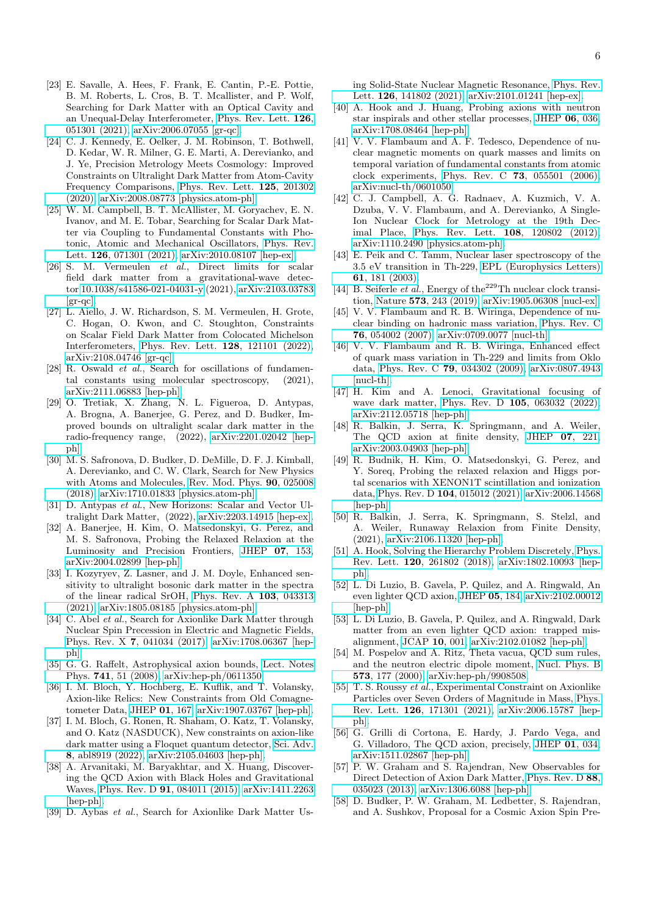- <span id="page-5-26"></span>[23] E. Savalle, A. Hees, F. Frank, E. Cantin, P.-E. Pottie, B. M. Roberts, L. Cros, B. T. Mcallister, and P. Wolf, Searching for Dark Matter with an Optical Cavity and an Unequal-Delay Interferometer, [Phys. Rev. Lett.](https://doi.org/10.1103/PhysRevLett.126.051301) 126, [051301 \(2021\),](https://doi.org/10.1103/PhysRevLett.126.051301) [arXiv:2006.07055 \[gr-qc\].](https://arxiv.org/abs/2006.07055)
- <span id="page-5-3"></span>[24] C. J. Kennedy, E. Oelker, J. M. Robinson, T. Bothwell, D. Kedar, W. R. Milner, G. E. Marti, A. Derevianko, and J. Ye, Precision Metrology Meets Cosmology: Improved Constraints on Ultralight Dark Matter from Atom-Cavity Frequency Comparisons, [Phys. Rev. Lett.](https://doi.org/10.1103/PhysRevLett.125.201302) 125, 201302 [\(2020\),](https://doi.org/10.1103/PhysRevLett.125.201302) [arXiv:2008.08773 \[physics.atom-ph\].](https://arxiv.org/abs/2008.08773)
- <span id="page-5-25"></span>[25] W. M. Campbell, B. T. McAllister, M. Goryachev, E. N. Ivanov, and M. E. Tobar, Searching for Scalar Dark Matter via Coupling to Fundamental Constants with Photonic, Atomic and Mechanical Oscillators, [Phys. Rev.](https://doi.org/10.1103/PhysRevLett.126.071301) Lett. 126[, 071301 \(2021\),](https://doi.org/10.1103/PhysRevLett.126.071301) [arXiv:2010.08107 \[hep-ex\].](https://arxiv.org/abs/2010.08107)
- <span id="page-5-27"></span>[26] S. M. Vermeulen et al., Direct limits for scalar field dark matter from a gravitational-wave detector [10.1038/s41586-021-04031-y](https://doi.org/10.1038/s41586-021-04031-y) (2021), [arXiv:2103.03783](https://arxiv.org/abs/2103.03783)  $\left[\text{gr-qc}\right]$ .
- [27] L. Aiello, J. W. Richardson, S. M. Vermeulen, H. Grote, C. Hogan, O. Kwon, and C. Stoughton, Constraints on Scalar Field Dark Matter from Colocated Michelson Interferometers, [Phys. Rev. Lett.](https://doi.org/10.1103/PhysRevLett.128.121101) 128, 121101 (2022), [arXiv:2108.04746 \[gr-qc\].](https://arxiv.org/abs/2108.04746)
- <span id="page-5-4"></span>[28] R. Oswald et al., Search for oscillations of fundamental constants using molecular spectroscopy, (2021), [arXiv:2111.06883 \[hep-ph\].](https://arxiv.org/abs/2111.06883)
- <span id="page-5-0"></span>[29] O. Tretiak, X. Zhang, N. L. Figueroa, D. Antypas, A. Brogna, A. Banerjee, G. Perez, and D. Budker, Improved bounds on ultralight scalar dark matter in the radio-frequency range, (2022), [arXiv:2201.02042 \[hep](https://arxiv.org/abs/2201.02042)[ph\].](https://arxiv.org/abs/2201.02042)
- <span id="page-5-1"></span>[30] M. S. Safronova, D. Budker, D. DeMille, D. F. J. Kimball, A. Derevianko, and C. W. Clark, Search for New Physics with Atoms and Molecules, [Rev. Mod. Phys.](https://doi.org/10.1103/RevModPhys.90.025008) 90, 025008 [\(2018\),](https://doi.org/10.1103/RevModPhys.90.025008) [arXiv:1710.01833 \[physics.atom-ph\].](https://arxiv.org/abs/1710.01833)
- <span id="page-5-2"></span>[31] D. Antypas et al., New Horizons: Scalar and Vector Ultralight Dark Matter, (2022), [arXiv:2203.14915 \[hep-ex\].](https://arxiv.org/abs/2203.14915)
- <span id="page-5-5"></span>[32] A. Banerjee, H. Kim, O. Matsedonskyi, G. Perez, and M. S. Safronova, Probing the Relaxed Relaxion at the Luminosity and Precision Frontiers, [JHEP](https://doi.org/10.1007/JHEP07(2020)153) 07, 153, [arXiv:2004.02899 \[hep-ph\].](https://arxiv.org/abs/2004.02899)
- <span id="page-5-6"></span>[33] I. Kozyryev, Z. Lasner, and J. M. Doyle, Enhanced sensitivity to ultralight bosonic dark matter in the spectra of the linear radical SrOH, [Phys. Rev. A](https://doi.org/10.1103/PhysRevA.103.043313) 103, 043313 [\(2021\),](https://doi.org/10.1103/PhysRevA.103.043313) [arXiv:1805.08185 \[physics.atom-ph\].](https://arxiv.org/abs/1805.08185)
- <span id="page-5-7"></span>[34] C. Abel *et al.*, Search for Axionlike Dark Matter through Nuclear Spin Precession in Electric and Magnetic Fields, Phys. Rev. X 7[, 041034 \(2017\),](https://doi.org/10.1103/PhysRevX.7.041034) [arXiv:1708.06367 \[hep](https://arxiv.org/abs/1708.06367)[ph\].](https://arxiv.org/abs/1708.06367)
- <span id="page-5-8"></span>[35] G. G. Raffelt, Astrophysical axion bounds, [Lect. Notes](https://doi.org/10.1007/978-3-540-73518-2_3) Phys. 741[, 51 \(2008\),](https://doi.org/10.1007/978-3-540-73518-2_3) [arXiv:hep-ph/0611350.](https://arxiv.org/abs/hep-ph/0611350)
- <span id="page-5-9"></span>[36] I. M. Bloch, Y. Hochberg, E. Kuflik, and T. Volansky, Axion-like Relics: New Constraints from Old Comagnetometer Data, [JHEP](https://doi.org/10.1007/JHEP01(2020)167) 01, 167, [arXiv:1907.03767 \[hep-ph\].](https://arxiv.org/abs/1907.03767)
- <span id="page-5-10"></span>[37] I. M. Bloch, G. Ronen, R. Shaham, O. Katz, T. Volansky, and O. Katz (NASDUCK), New constraints on axion-like dark matter using a Floquet quantum detector, [Sci. Adv.](https://doi.org/10.1126/sciadv.abl8919) 8[, abl8919 \(2022\),](https://doi.org/10.1126/sciadv.abl8919) [arXiv:2105.04603 \[hep-ph\].](https://arxiv.org/abs/2105.04603)
- <span id="page-5-11"></span>[38] A. Arvanitaki, M. Baryakhtar, and X. Huang, Discovering the QCD Axion with Black Holes and Gravitational Waves, Phys. Rev. D 91[, 084011 \(2015\),](https://doi.org/10.1103/PhysRevD.91.084011) [arXiv:1411.2263](https://arxiv.org/abs/1411.2263) [\[hep-ph\].](https://arxiv.org/abs/1411.2263)
- <span id="page-5-12"></span>[39] D. Aybas et al., Search for Axionlike Dark Matter Us-

ing Solid-State Nuclear Magnetic Resonance, [Phys. Rev.](https://doi.org/10.1103/PhysRevLett.126.141802) Lett. 126[, 141802 \(2021\),](https://doi.org/10.1103/PhysRevLett.126.141802) [arXiv:2101.01241 \[hep-ex\].](https://arxiv.org/abs/2101.01241)

- <span id="page-5-13"></span>[40] A. Hook and J. Huang, Probing axions with neutron star inspirals and other stellar processes, [JHEP](https://doi.org/10.1007/JHEP06(2018)036) 06, 036, [arXiv:1708.08464 \[hep-ph\].](https://arxiv.org/abs/1708.08464)
- <span id="page-5-14"></span>[41] V. V. Flambaum and A. F. Tedesco, Dependence of nuclear magnetic moments on quark masses and limits on temporal variation of fundamental constants from atomic clock experiments, Phys. Rev. C 73[, 055501 \(2006\),](https://doi.org/10.1103/PhysRevC.73.055501) [arXiv:nucl-th/0601050.](https://arxiv.org/abs/nucl-th/0601050)
- <span id="page-5-15"></span>[42] C. J. Campbell, A. G. Radnaev, A. Kuzmich, V. A. Dzuba, V. V. Flambaum, and A. Derevianko, A Single-Ion Nuclear Clock for Metrology at the 19th Decimal Place, [Phys. Rev. Lett.](https://doi.org/10.1103/PhysRevLett.108.120802) 108, 120802 (2012), [arXiv:1110.2490 \[physics.atom-ph\].](https://arxiv.org/abs/1110.2490)
- <span id="page-5-16"></span>[43] E. Peik and C. Tamm, Nuclear laser spectroscopy of the 3.5 eV transition in Th-229, [EPL \(Europhysics Letters\)](https://doi.org/10.1209/epl/i2003-00210-x) 61[, 181 \(2003\).](https://doi.org/10.1209/epl/i2003-00210-x)
- <span id="page-5-17"></span>[44] B. Seiferle et al., Energy of the<sup>229</sup>Th nuclear clock transition, Nature 573[, 243 \(2019\),](https://doi.org/10.1038/s41586-019-1533-4) [arXiv:1905.06308 \[nucl-ex\].](https://arxiv.org/abs/1905.06308)
- <span id="page-5-18"></span>[45] V. V. Flambaum and R. B. Wiringa, Dependence of nuclear binding on hadronic mass variation, [Phys. Rev. C](https://doi.org/10.1103/PhysRevC.76.054002) 76[, 054002 \(2007\),](https://doi.org/10.1103/PhysRevC.76.054002) [arXiv:0709.0077 \[nucl-th\].](https://arxiv.org/abs/0709.0077)
- <span id="page-5-19"></span>[46] V. V. Flambaum and R. B. Wiringa, Enhanced effect of quark mass variation in Th-229 and limits from Oklo data, Phys. Rev. C 79[, 034302 \(2009\),](https://doi.org/10.1103/PhysRevC.79.034302) [arXiv:0807.4943](https://arxiv.org/abs/0807.4943) [\[nucl-th\].](https://arxiv.org/abs/0807.4943)
- <span id="page-5-20"></span>[47] H. Kim and A. Lenoci, Gravitational focusing of wave dark matter, Phys. Rev. D 105[, 063032 \(2022\),](https://doi.org/10.1103/PhysRevD.105.063032) [arXiv:2112.05718 \[hep-ph\].](https://arxiv.org/abs/2112.05718)
- <span id="page-5-21"></span>[48] R. Balkin, J. Serra, K. Springmann, and A. Weiler, The QCD axion at finite density, [JHEP](https://doi.org/10.1007/JHEP07(2020)221) 07, 221, [arXiv:2003.04903 \[hep-ph\].](https://arxiv.org/abs/2003.04903)
- [49] R. Budnik, H. Kim, O. Matsedonskyi, G. Perez, and Y. Soreq, Probing the relaxed relaxion and Higgs portal scenarios with XENON1T scintillation and ionization data, Phys. Rev. D 104[, 015012 \(2021\),](https://doi.org/10.1103/PhysRevD.104.015012) [arXiv:2006.14568](https://arxiv.org/abs/2006.14568) [\[hep-ph\].](https://arxiv.org/abs/2006.14568)
- <span id="page-5-22"></span>[50] R. Balkin, J. Serra, K. Springmann, S. Stelzl, and A. Weiler, Runaway Relaxion from Finite Density, (2021), [arXiv:2106.11320 \[hep-ph\].](https://arxiv.org/abs/2106.11320)
- <span id="page-5-23"></span>[51] A. Hook, Solving the Hierarchy Problem Discretely, [Phys.](https://doi.org/10.1103/PhysRevLett.120.261802) Rev. Lett. 120[, 261802 \(2018\),](https://doi.org/10.1103/PhysRevLett.120.261802) [arXiv:1802.10093 \[hep](https://arxiv.org/abs/1802.10093)[ph\].](https://arxiv.org/abs/1802.10093)
- [52] L. Di Luzio, B. Gavela, P. Quilez, and A. Ringwald, An even lighter QCD axion, [JHEP](https://doi.org/10.1007/JHEP05(2021)184) 05, 184, [arXiv:2102.00012](https://arxiv.org/abs/2102.00012) [\[hep-ph\].](https://arxiv.org/abs/2102.00012)
- <span id="page-5-24"></span>[53] L. Di Luzio, B. Gavela, P. Quilez, and A. Ringwald, Dark matter from an even lighter QCD axion: trapped misalignment, [JCAP](https://doi.org/10.1088/1475-7516/2021/10/001) 10, 001, [arXiv:2102.01082 \[hep-ph\].](https://arxiv.org/abs/2102.01082)
- <span id="page-5-28"></span>[54] M. Pospelov and A. Ritz, Theta vacua, QCD sum rules, and the neutron electric dipole moment, [Nucl. Phys. B](https://doi.org/10.1016/S0550-3213(99)00817-2) 573[, 177 \(2000\),](https://doi.org/10.1016/S0550-3213(99)00817-2) [arXiv:hep-ph/9908508.](https://arxiv.org/abs/hep-ph/9908508)
- <span id="page-5-29"></span>[55] T. S. Roussy et al., Experimental Constraint on Axionlike Particles over Seven Orders of Magnitude in Mass, [Phys.](https://doi.org/10.1103/PhysRevLett.126.171301) Rev. Lett. 126[, 171301 \(2021\),](https://doi.org/10.1103/PhysRevLett.126.171301) [arXiv:2006.15787 \[hep](https://arxiv.org/abs/2006.15787)[ph\].](https://arxiv.org/abs/2006.15787)
- <span id="page-5-30"></span>[56] G. Grilli di Cortona, E. Hardy, J. Pardo Vega, and G. Villadoro, The QCD axion, precisely, [JHEP](https://doi.org/10.1007/JHEP01(2016)034) 01, 034, [arXiv:1511.02867 \[hep-ph\].](https://arxiv.org/abs/1511.02867)
- <span id="page-5-31"></span>[57] P. W. Graham and S. Rajendran, New Observables for Direct Detection of Axion Dark Matter, [Phys. Rev. D](https://doi.org/10.1103/PhysRevD.88.035023) 88, [035023 \(2013\),](https://doi.org/10.1103/PhysRevD.88.035023) [arXiv:1306.6088 \[hep-ph\].](https://arxiv.org/abs/1306.6088)
- <span id="page-5-32"></span>[58] D. Budker, P. W. Graham, M. Ledbetter, S. Rajendran, and A. Sushkov, Proposal for a Cosmic Axion Spin Pre-